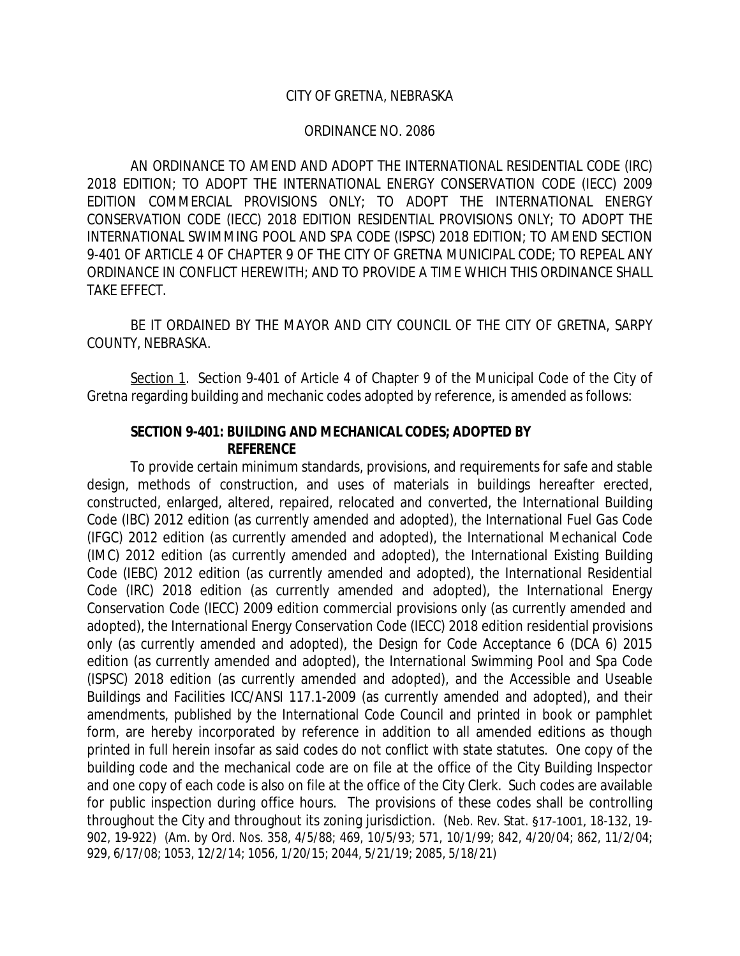#### CITY OF GRETNA, NEBRASKA

#### ORDINANCE NO. 2086

AN ORDINANCE TO AMEND AND ADOPT THE INTERNATIONAL RESIDENTIAL CODE (IRC) 2018 EDITION; TO ADOPT THE INTERNATIONAL ENERGY CONSERVATION CODE (IECC) 2009 EDITION COMMERCIAL PROVISIONS ONLY; TO ADOPT THE INTERNATIONAL ENERGY CONSERVATION CODE (IECC) 2018 EDITION RESIDENTIAL PROVISIONS ONLY; TO ADOPT THE INTERNATIONAL SWIMMING POOL AND SPA CODE (ISPSC) 2018 EDITION; TO AMEND SECTION 9-401 OF ARTICLE 4 OF CHAPTER 9 OF THE CITY OF GRETNA MUNICIPAL CODE; TO REPEAL ANY ORDINANCE IN CONFLICT HEREWITH; AND TO PROVIDE A TIME WHICH THIS ORDINANCE SHALL TAKE EFFECT.

BE IT ORDAINED BY THE MAYOR AND CITY COUNCIL OF THE CITY OF GRETNA, SARPY COUNTY, NEBRASKA.

Section 1. Section 9-401 of Article 4 of Chapter 9 of the Municipal Code of the City of Gretna regarding building and mechanic codes adopted by reference, is amended as follows:

#### **SECTION 9-401: BUILDING AND MECHANICAL CODES; ADOPTED BY REFERENCE**

To provide certain minimum standards, provisions, and requirements for safe and stable design, methods of construction, and uses of materials in buildings hereafter erected, constructed, enlarged, altered, repaired, relocated and converted, the International Building Code (IBC) 2012 edition (as currently amended and adopted), the International Fuel Gas Code (IFGC) 2012 edition (as currently amended and adopted), the International Mechanical Code (IMC) 2012 edition (as currently amended and adopted), the International Existing Building Code (IEBC) 2012 edition (as currently amended and adopted), the International Residential Code (IRC) 2018 edition (as currently amended and adopted), the International Energy Conservation Code (IECC) 2009 edition commercial provisions only (as currently amended and adopted), the International Energy Conservation Code (IECC) 2018 edition residential provisions only (as currently amended and adopted), the Design for Code Acceptance 6 (DCA 6) 2015 edition (as currently amended and adopted), the International Swimming Pool and Spa Code (ISPSC) 2018 edition (as currently amended and adopted), and the Accessible and Useable Buildings and Facilities ICC/ANSI 117.1-2009 (as currently amended and adopted), and their amendments, published by the International Code Council and printed in book or pamphlet form, are hereby incorporated by reference in addition to all amended editions as though printed in full herein insofar as said codes do not conflict with state statutes. One copy of the building code and the mechanical code are on file at the office of the City Building Inspector and one copy of each code is also on file at the office of the City Clerk. Such codes are available for public inspection during office hours. The provisions of these codes shall be controlling throughout the City and throughout its zoning jurisdiction. (Neb. Rev. Stat. §17-1001, 18-132, 19- 902, 19-922) (Am. by Ord. Nos. 358, 4/5/88; 469, 10/5/93; 571, 10/1/99; 842, 4/20/04; 862, 11/2/04; 929, 6/17/08; 1053, 12/2/14; 1056, 1/20/15; 2044, 5/21/19; 2085, 5/18/21)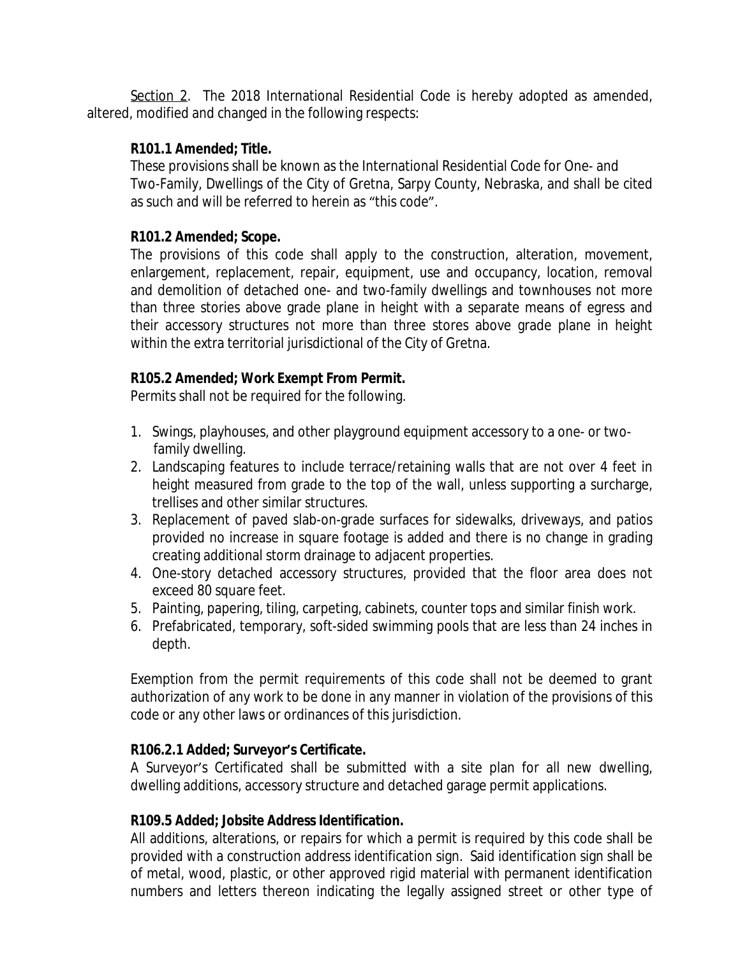Section 2. The 2018 International Residential Code is hereby adopted as amended, altered, modified and changed in the following respects:

# **R101.1 Amended; Title.**

These provisions shall be known as the International Residential Code for One- and Two-Family, Dwellings of the City of Gretna, Sarpy County, Nebraska, and shall be cited as such and will be referred to herein as "this code".

# **R101.2 Amended; Scope.**

The provisions of this code shall apply to the construction, alteration, movement, enlargement, replacement, repair, equipment, use and occupancy, location, removal and demolition of detached one- and two-family dwellings and townhouses not more than three stories above grade plane in height with a separate means of egress and their accessory structures not more than three stores above grade plane in height within the extra territorial jurisdictional of the City of Gretna.

# **R105.2 Amended; Work Exempt From Permit.**

Permits shall not be required for the following.

- 1. Swings, playhouses, and other playground equipment accessory to a one- or two family dwelling.
- 2. Landscaping features to include terrace/retaining walls that are not over 4 feet in height measured from grade to the top of the wall, unless supporting a surcharge, trellises and other similar structures.
- 3. Replacement of paved slab-on-grade surfaces for sidewalks, driveways, and patios provided no increase in square footage is added and there is no change in grading creating additional storm drainage to adjacent properties.
- 4. One-story detached accessory structures, provided that the floor area does not exceed 80 square feet.
- 5. Painting, papering, tiling, carpeting, cabinets, counter tops and similar finish work.
- 6. Prefabricated, temporary, soft-sided swimming pools that are less than 24 inches in depth.

Exemption from the permit requirements of this code shall not be deemed to grant authorization of any work to be done in any manner in violation of the provisions of this code or any other laws or ordinances of this jurisdiction.

# **R106.2.1 Added; Surveyor's Certificate.**

A Surveyor's Certificated shall be submitted with a site plan for all new dwelling, dwelling additions, accessory structure and detached garage permit applications.

# **R109.5 Added; Jobsite Address Identification.**

All additions, alterations, or repairs for which a permit is required by this code shall be provided with a construction address identification sign. Said identification sign shall be of metal, wood, plastic, or other approved rigid material with permanent identification numbers and letters thereon indicating the legally assigned street or other type of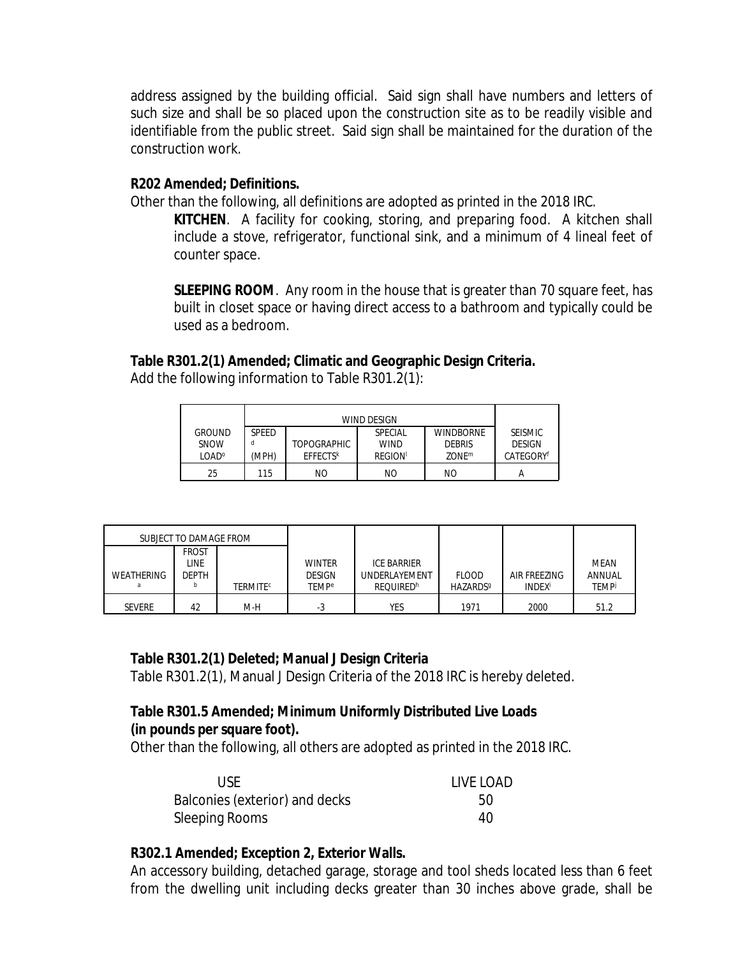address assigned by the building official. Said sign shall have numbers and letters of such size and shall be so placed upon the construction site as to be readily visible and identifiable from the public street. Said sign shall be maintained for the duration of the construction work.

### **R202 Amended; Definitions.**

Other than the following, all definitions are adopted as printed in the 2018 IRC.

**KITCHEN**. A facility for cooking, storing, and preparing food. A kitchen shall include a stove, refrigerator, functional sink, and a minimum of 4 lineal feet of counter space.

**SLEEPING ROOM**. Any room in the house that is greater than 70 square feet, has built in closet space or having direct access to a bathroom and typically could be used as a bedroom.

## **Table R301.2(1) Amended; Climatic and Geographic Design Criteria.**

Add the following information to Table R301.2(1):

| <b>GROUND</b>     | <b>SPEED</b> |                             | SPECIAL        | <b>WINDBORNE</b>  | <b>SEISMIC</b>        |
|-------------------|--------------|-----------------------------|----------------|-------------------|-----------------------|
| SNOW              |              | <b>TOPOGRAPHIC</b>          | <b>WIND</b>    | <b>DEBRIS</b>     | <b>DESIGN</b>         |
| LOAD <sup>o</sup> | (MPH)        | <b>EFFECTS</b> <sup>k</sup> | <b>REGION</b>  | ZONE <sup>m</sup> | CATEGORY <sup>f</sup> |
| 25                | 115          | ΝO                          | N <sub>O</sub> | NO                |                       |

| SUBJECT TO DAMAGE FROM |              |                            |                         |                    |                             |                           |             |
|------------------------|--------------|----------------------------|-------------------------|--------------------|-----------------------------|---------------------------|-------------|
|                        | <b>FROST</b> |                            |                         |                    |                             |                           |             |
|                        | <b>LINE</b>  |                            | <b>WINTER</b>           | <b>ICE BARRIER</b> |                             |                           | <b>MEAN</b> |
| WEATHERING             | <b>DEPTH</b> |                            | <b>DESIGN</b>           | UNDERLAYEMENT      | <b>FLOOD</b>                | AIR FREEZING              | ANNUAL      |
| я                      |              | <b>TERMITE<sup>c</sup></b> | <b>TEMP<sup>e</sup></b> | <b>REOUIREDh</b>   | <b>HAZARDS</b> <sup>9</sup> | <b>INDEX</b> <sup>i</sup> | <b>TEMP</b> |
| <b>SEVERE</b>          | 42           | M-H                        | -3                      | <b>YES</b>         | 1971                        | 2000                      | 51.2        |

# **Table R301.2(1) Deleted; Manual J Design Criteria**

Table R301.2(1), Manual J Design Criteria of the 2018 IRC is hereby deleted.

# **Table R301.5 Amended; Minimum Uniformly Distributed Live Loads (in pounds per square foot).**

Other than the following, all others are adopted as printed in the 2018 IRC.

| USE.                           | LIVE LOAD |
|--------------------------------|-----------|
| Balconies (exterior) and decks | 50        |
| Sleeping Rooms                 | 40        |

# **R302.1 Amended; Exception 2, Exterior Walls.**

An accessory building, detached garage, storage and tool sheds located less than 6 feet from the dwelling unit including decks greater than 30 inches above grade, shall be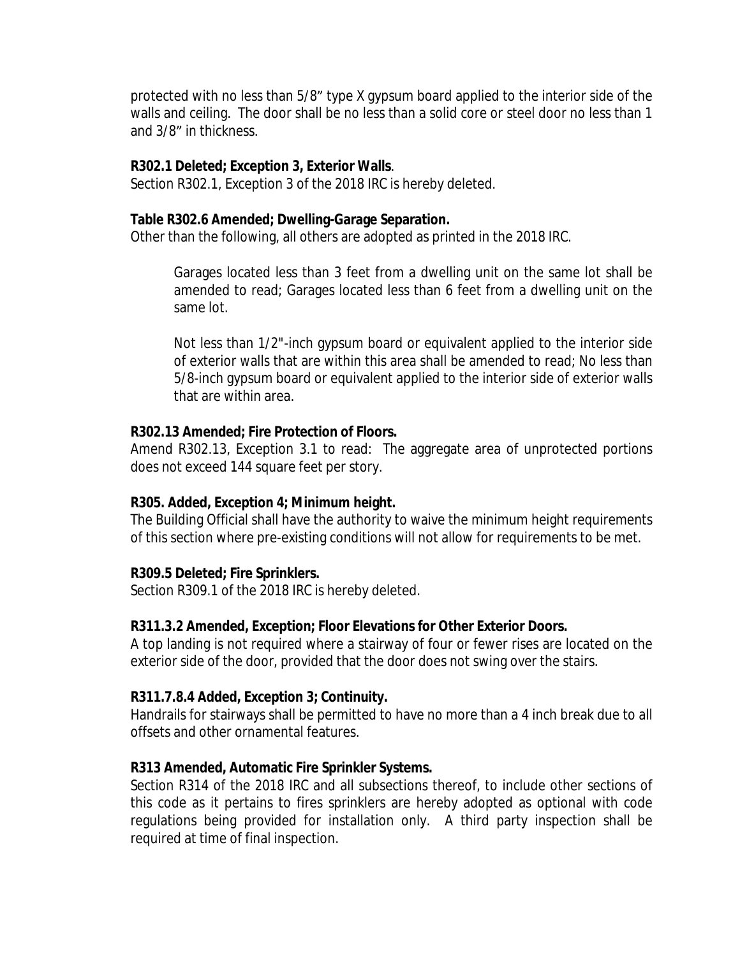protected with no less than 5/8" type X gypsum board applied to the interior side of the walls and ceiling. The door shall be no less than a solid core or steel door no less than 1 and 3/8" in thickness.

#### **R302.1 Deleted; Exception 3, Exterior Walls**.

Section R302.1, Exception 3 of the 2018 IRC is hereby deleted.

#### **Table R302.6 Amended; Dwelling-Garage Separation.**

Other than the following, all others are adopted as printed in the 2018 IRC.

Garages located less than 3 feet from a dwelling unit on the same lot shall be amended to read; Garages located less than 6 feet from a dwelling unit on the same lot.

Not less than 1/2"-inch gypsum board or equivalent applied to the interior side of exterior walls that are within this area shall be amended to read; No less than 5/8-inch gypsum board or equivalent applied to the interior side of exterior walls that are within area.

### **R302.13 Amended; Fire Protection of Floors.**

Amend R302.13, Exception 3.1 to read: The aggregate area of unprotected portions does not exceed 144 square feet per story.

### **R305. Added, Exception 4; Minimum height.**

The Building Official shall have the authority to waive the minimum height requirements of this section where pre-existing conditions will not allow for requirements to be met.

### **R309.5 Deleted; Fire Sprinklers.**

Section R309.1 of the 2018 IRC is hereby deleted.

### **R311.3.2 Amended, Exception; Floor Elevations for Other Exterior Doors.**

A top landing is not required where a stairway of four or fewer rises are located on the exterior side of the door, provided that the door does not swing over the stairs.

### **R311.7.8.4 Added, Exception 3; Continuity.**

Handrails for stairways shall be permitted to have no more than a 4 inch break due to all offsets and other ornamental features.

### **R313 Amended, Automatic Fire Sprinkler Systems.**

Section R314 of the 2018 IRC and all subsections thereof, to include other sections of this code as it pertains to fires sprinklers are hereby adopted as optional with code regulations being provided for installation only. A third party inspection shall be required at time of final inspection.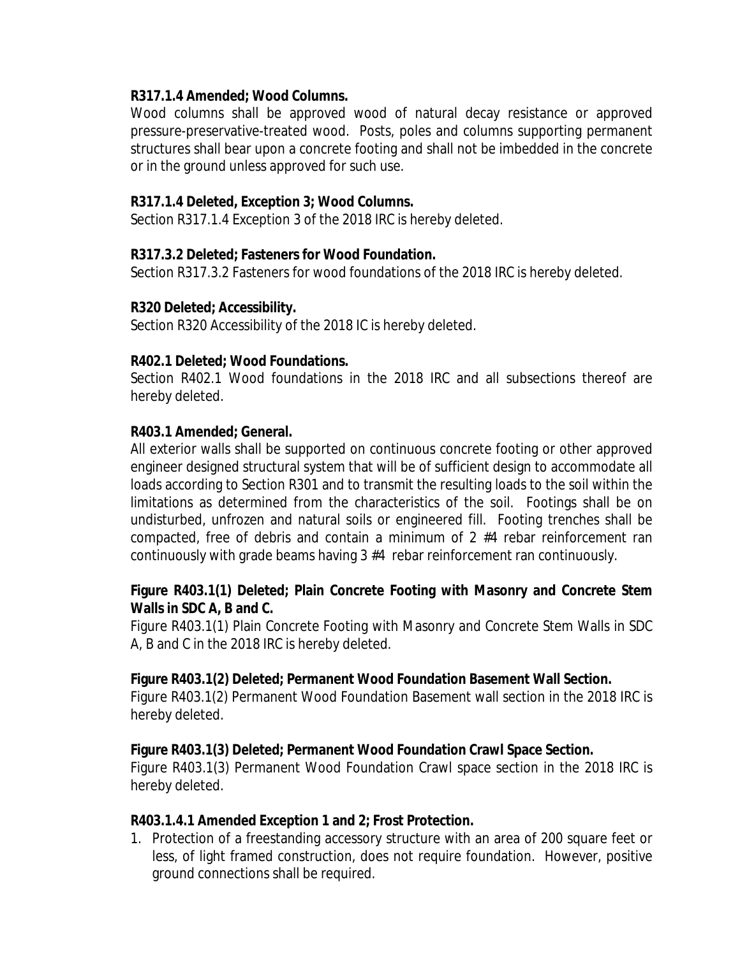## **R317.1.4 Amended; Wood Columns.**

Wood columns shall be approved wood of natural decay resistance or approved pressure-preservative-treated wood. Posts, poles and columns supporting permanent structures shall bear upon a concrete footing and shall not be imbedded in the concrete or in the ground unless approved for such use.

# **R317.1.4 Deleted, Exception 3; Wood Columns.**

Section R317.1.4 Exception 3 of the 2018 IRC is hereby deleted.

## **R317.3.2 Deleted; Fasteners for Wood Foundation.**

Section R317.3.2 Fasteners for wood foundations of the 2018 IRC is hereby deleted.

## **R320 Deleted; Accessibility.**

Section R320 Accessibility of the 2018 IC is hereby deleted.

## **R402.1 Deleted; Wood Foundations.**

Section R402.1 Wood foundations in the 2018 IRC and all subsections thereof are hereby deleted.

## **R403.1 Amended; General.**

All exterior walls shall be supported on continuous concrete footing or other approved engineer designed structural system that will be of sufficient design to accommodate all loads according to Section R301 and to transmit the resulting loads to the soil within the limitations as determined from the characteristics of the soil. Footings shall be on undisturbed, unfrozen and natural soils or engineered fill. Footing trenches shall be compacted, free of debris and contain a minimum of 2 #4 rebar reinforcement ran continuously with grade beams having 3 #4 rebar reinforcement ran continuously.

# **Figure R403.1(1) Deleted; Plain Concrete Footing with Masonry and Concrete Stem Walls in SDC A, B and C.**

Figure R403.1(1) Plain Concrete Footing with Masonry and Concrete Stem Walls in SDC A, B and C in the 2018 IRC is hereby deleted.

### **Figure R403.1(2) Deleted; Permanent Wood Foundation Basement Wall Section.**

Figure R403.1(2) Permanent Wood Foundation Basement wall section in the 2018 IRC is hereby deleted.

# **Figure R403.1(3) Deleted; Permanent Wood Foundation Crawl Space Section.**

Figure R403.1(3) Permanent Wood Foundation Crawl space section in the 2018 IRC is hereby deleted.

### **R403.1.4.1 Amended Exception 1 and 2; Frost Protection.**

1. Protection of a freestanding accessory structure with an area of 200 square feet or less, of light framed construction, does not require foundation. However, positive ground connections shall be required.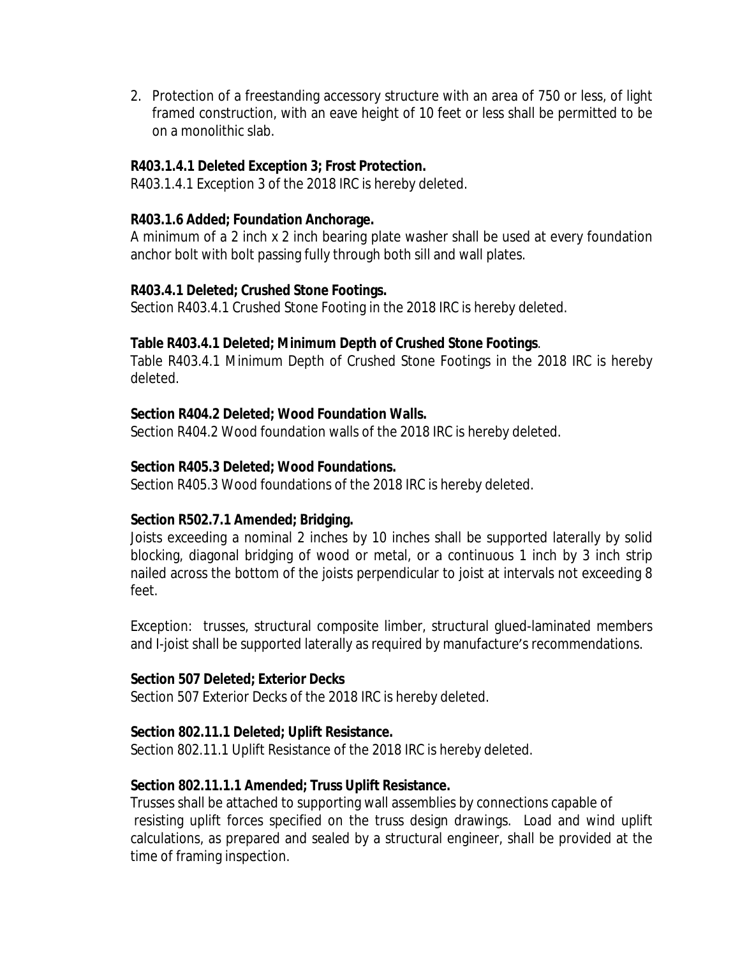2. Protection of a freestanding accessory structure with an area of 750 or less, of light framed construction, with an eave height of 10 feet or less shall be permitted to be on a monolithic slab.

### **R403.1.4.1 Deleted Exception 3; Frost Protection.**

R403.1.4.1 Exception 3 of the 2018 IRC is hereby deleted.

### **R403.1.6 Added; Foundation Anchorage.**

A minimum of a 2 inch x 2 inch bearing plate washer shall be used at every foundation anchor bolt with bolt passing fully through both sill and wall plates.

## **R403.4.1 Deleted; Crushed Stone Footings.**

Section R403.4.1 Crushed Stone Footing in the 2018 IRC is hereby deleted.

## **Table R403.4.1 Deleted; Minimum Depth of Crushed Stone Footings**.

Table R403.4.1 Minimum Depth of Crushed Stone Footings in the 2018 IRC is hereby deleted.

## **Section R404.2 Deleted; Wood Foundation Walls.**

Section R404.2 Wood foundation walls of the 2018 IRC is hereby deleted.

## **Section R405.3 Deleted; Wood Foundations.**

Section R405.3 Wood foundations of the 2018 IRC is hereby deleted.

# **Section R502.7.1 Amended; Bridging.**

Joists exceeding a nominal 2 inches by 10 inches shall be supported laterally by solid blocking, diagonal bridging of wood or metal, or a continuous 1 inch by 3 inch strip nailed across the bottom of the joists perpendicular to joist at intervals not exceeding 8 feet.

Exception: trusses, structural composite limber, structural glued-laminated members and I-joist shall be supported laterally as required by manufacture's recommendations.

### **Section 507 Deleted; Exterior Decks**

Section 507 Exterior Decks of the 2018 IRC is hereby deleted.

### **Section 802.11.1 Deleted; Uplift Resistance.**

Section 802.11.1 Uplift Resistance of the 2018 IRC is hereby deleted.

# **Section 802.11.1.1 Amended; Truss Uplift Resistance.**

Trusses shall be attached to supporting wall assemblies by connections capable of resisting uplift forces specified on the truss design drawings. Load and wind uplift calculations, as prepared and sealed by a structural engineer, shall be provided at the time of framing inspection.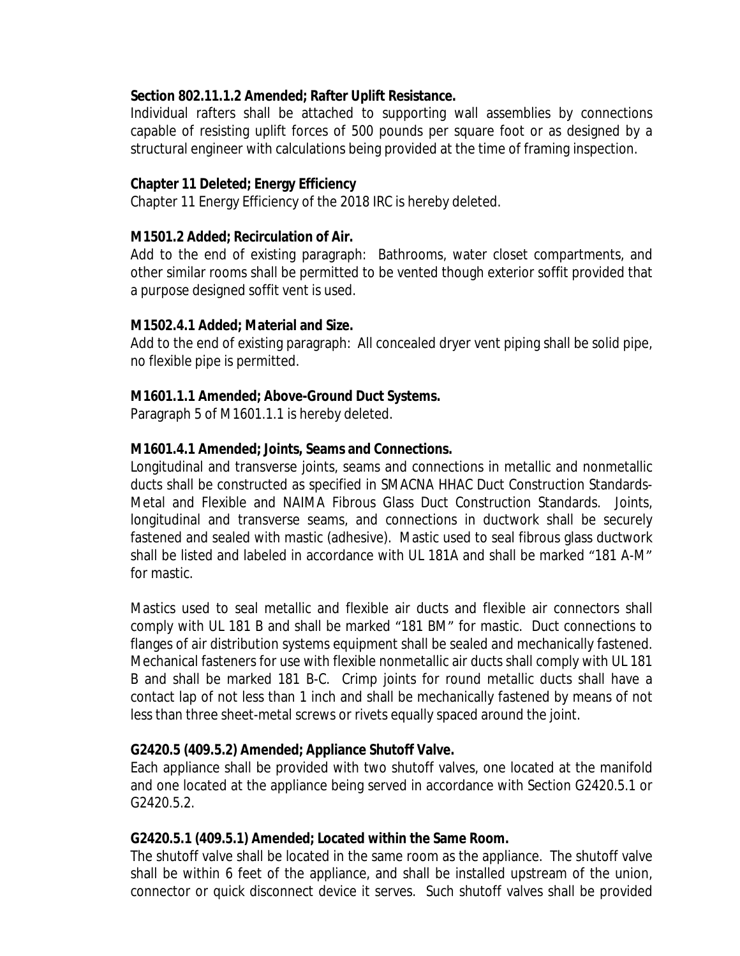### **Section 802.11.1.2 Amended; Rafter Uplift Resistance.**

Individual rafters shall be attached to supporting wall assemblies by connections capable of resisting uplift forces of 500 pounds per square foot or as designed by a structural engineer with calculations being provided at the time of framing inspection.

## **Chapter 11 Deleted; Energy Efficiency**

Chapter 11 Energy Efficiency of the 2018 IRC is hereby deleted.

## **M1501.2 Added; Recirculation of Air.**

Add to the end of existing paragraph: Bathrooms, water closet compartments, and other similar rooms shall be permitted to be vented though exterior soffit provided that a purpose designed soffit vent is used.

## **M1502.4.1 Added; Material and Size.**

Add to the end of existing paragraph: All concealed dryer vent piping shall be solid pipe, no flexible pipe is permitted.

## **M1601.1.1 Amended; Above-Ground Duct Systems.**

Paragraph 5 of M1601.1.1 is hereby deleted.

## **M1601.4.1 Amended; Joints, Seams and Connections.**

Longitudinal and transverse joints, seams and connections in metallic and nonmetallic ducts shall be constructed as specified in SMACNA HHAC Duct Construction Standards-Metal and Flexible and NAIMA Fibrous Glass Duct Construction Standards. Joints, longitudinal and transverse seams, and connections in ductwork shall be securely fastened and sealed with mastic (adhesive). Mastic used to seal fibrous glass ductwork shall be listed and labeled in accordance with UL 181A and shall be marked "181 A-M" for mastic.

Mastics used to seal metallic and flexible air ducts and flexible air connectors shall comply with UL 181 B and shall be marked "181 BM" for mastic. Duct connections to flanges of air distribution systems equipment shall be sealed and mechanically fastened. Mechanical fasteners for use with flexible nonmetallic air ducts shall comply with UL 181 B and shall be marked 181 B-C. Crimp joints for round metallic ducts shall have a contact lap of not less than 1 inch and shall be mechanically fastened by means of not less than three sheet-metal screws or rivets equally spaced around the joint.

### **G2420.5 (409.5.2) Amended; Appliance Shutoff Valve.**

Each appliance shall be provided with two shutoff valves, one located at the manifold and one located at the appliance being served in accordance with Section G2420.5.1 or G2420.5.2.

### **G2420.5.1 (409.5.1) Amended; Located within the Same Room.**

The shutoff valve shall be located in the same room as the appliance. The shutoff valve shall be within 6 feet of the appliance, and shall be installed upstream of the union, connector or quick disconnect device it serves. Such shutoff valves shall be provided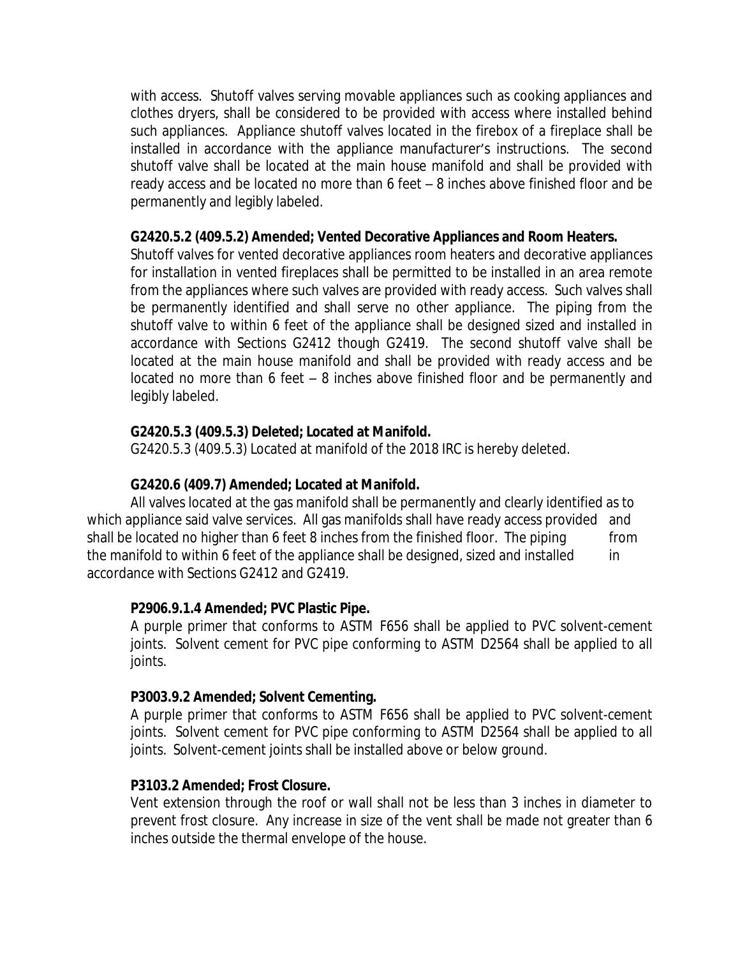with access. Shutoff valves serving movable appliances such as cooking appliances and clothes dryers, shall be considered to be provided with access where installed behind such appliances. Appliance shutoff valves located in the firebox of a fireplace shall be installed in accordance with the appliance manufacturer's instructions. The second shutoff valve shall be located at the main house manifold and shall be provided with ready access and be located no more than 6 feet – 8 inches above finished floor and be permanently and legibly labeled.

### **G2420.5.2 (409.5.2) Amended; Vented Decorative Appliances and Room Heaters.**

Shutoff valves for vented decorative appliances room heaters and decorative appliances for installation in vented fireplaces shall be permitted to be installed in an area remote from the appliances where such valves are provided with ready access. Such valves shall be permanently identified and shall serve no other appliance. The piping from the shutoff valve to within 6 feet of the appliance shall be designed sized and installed in accordance with Sections G2412 though G2419. The second shutoff valve shall be located at the main house manifold and shall be provided with ready access and be located no more than 6 feet – 8 inches above finished floor and be permanently and legibly labeled.

## **G2420.5.3 (409.5.3) Deleted; Located at Manifold.**

G2420.5.3 (409.5.3) Located at manifold of the 2018 IRC is hereby deleted.

# **G2420.6 (409.7) Amended; Located at Manifold.**

All valves located at the gas manifold shall be permanently and clearly identified as to which appliance said valve services. All gas manifolds shall have ready access provided and shall be located no higher than 6 feet 8 inches from the finished floor. The piping from the manifold to within 6 feet of the appliance shall be designed, sized and installed in accordance with Sections G2412 and G2419.

### **P2906.9.1.4 Amended; PVC Plastic Pipe.**

A purple primer that conforms to ASTM F656 shall be applied to PVC solvent-cement joints. Solvent cement for PVC pipe conforming to ASTM D2564 shall be applied to all joints.

### **P3003.9.2 Amended; Solvent Cementing.**

A purple primer that conforms to ASTM F656 shall be applied to PVC solvent-cement joints. Solvent cement for PVC pipe conforming to ASTM D2564 shall be applied to all joints. Solvent-cement joints shall be installed above or below ground.

### **P3103.2 Amended; Frost Closure.**

Vent extension through the roof or wall shall not be less than 3 inches in diameter to prevent frost closure. Any increase in size of the vent shall be made not greater than 6 inches outside the thermal envelope of the house.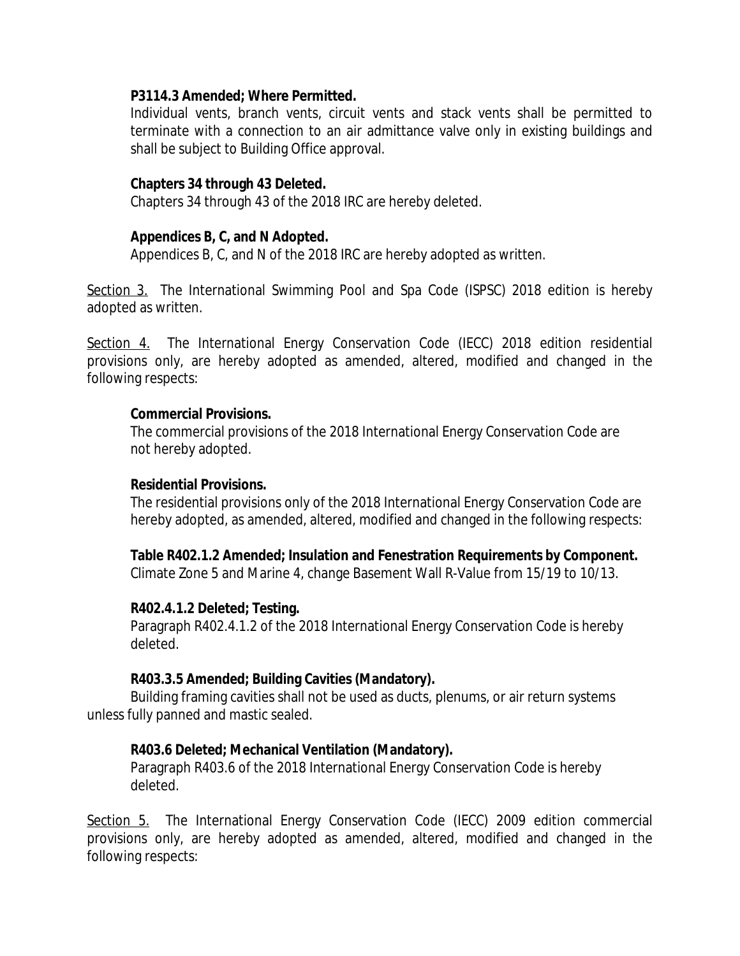### **P3114.3 Amended; Where Permitted.**

Individual vents, branch vents, circuit vents and stack vents shall be permitted to terminate with a connection to an air admittance valve only in existing buildings and shall be subject to Building Office approval.

#### **Chapters 34 through 43 Deleted.**

Chapters 34 through 43 of the 2018 IRC are hereby deleted.

#### **Appendices B, C, and N Adopted.**

Appendices B, C, and N of the 2018 IRC are hereby adopted as written.

Section 3. The International Swimming Pool and Spa Code (ISPSC) 2018 edition is hereby adopted as written.

Section 4. The International Energy Conservation Code (IECC) 2018 edition residential provisions only, are hereby adopted as amended, altered, modified and changed in the following respects:

#### **Commercial Provisions.**

The commercial provisions of the 2018 International Energy Conservation Code are not hereby adopted.

#### **Residential Provisions.**

The residential provisions only of the 2018 International Energy Conservation Code are hereby adopted, as amended, altered, modified and changed in the following respects:

**Table R402.1.2 Amended; Insulation and Fenestration Requirements by Component.**

Climate Zone 5 and Marine 4, change Basement Wall R-Value from 15/19 to 10/13.

### **R402.4.1.2 Deleted; Testing.**

Paragraph R402.4.1.2 of the 2018 International Energy Conservation Code is hereby deleted.

#### **R403.3.5 Amended; Building Cavities (Mandatory).**

Building framing cavities shall not be used as ducts, plenums, or air return systems unless fully panned and mastic sealed.

### **R403.6 Deleted; Mechanical Ventilation (Mandatory).**

Paragraph R403.6 of the 2018 International Energy Conservation Code is hereby deleted.

Section 5. The International Energy Conservation Code (IECC) 2009 edition commercial provisions only, are hereby adopted as amended, altered, modified and changed in the following respects: